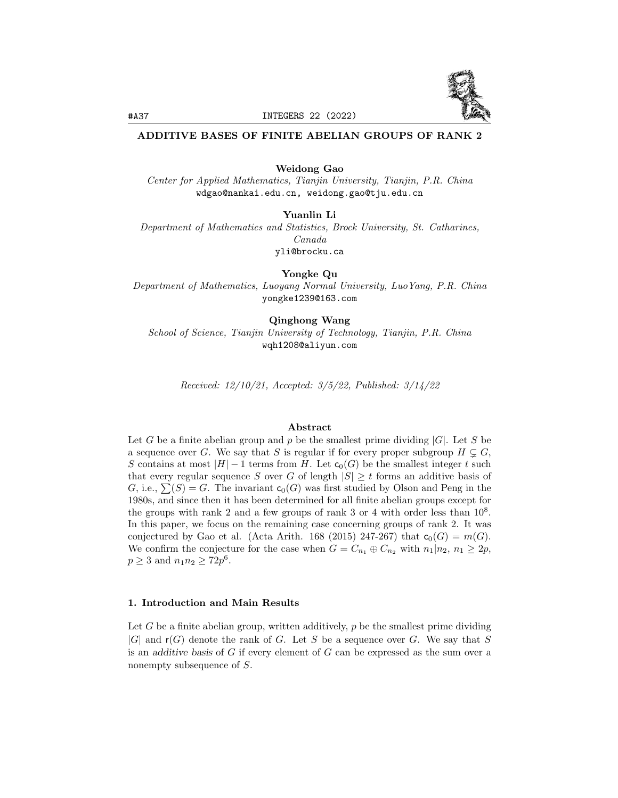

## ADDITIVE BASES OF FINITE ABELIAN GROUPS OF RANK 2

Weidong Gao

Center for Applied Mathematics, Tianjin University, Tianjin, P.R. China wdgao@nankai.edu.cn, weidong.gao@tju.edu.cn

Yuanlin Li

Department of Mathematics and Statistics, Brock University, St. Catharines, Canada yli@brocku.ca

Yongke Qu Department of Mathematics, Luoyang Normal University, LuoYang, P.R. China yongke1239@163.com

Qinghong Wang School of Science, Tianjin University of Technology, Tianjin, P.R. China wqh1208@aliyun.com

Received: 12/10/21, Accepted: 3/5/22, Published: 3/14/22

## Abstract

Let G be a finite abelian group and p be the smallest prime dividing  $|G|$ . Let S be a sequence over G. We say that S is regular if for every proper subgroup  $H \subsetneq G$ , S contains at most  $|H| - 1$  terms from H. Let  $c_0(G)$  be the smallest integer t such that every regular sequence S over G of length  $|S| \geq t$  forms an additive basis of G, i.e.,  $\sum(S) = G$ . The invariant  $c_0(G)$  was first studied by Olson and Peng in the 1980s, and since then it has been determined for all finite abelian groups except for the groups with rank 2 and a few groups of rank 3 or 4 with order less than  $10^8$ . In this paper, we focus on the remaining case concerning groups of rank 2. It was conjectured by Gao et al. (Acta Arith. 168 (2015) 247-267) that  $c_0(G) = m(G)$ . We confirm the conjecture for the case when  $G = C_{n_1} \oplus C_{n_2}$  with  $n_1 | n_2, n_1 \geq 2p$ ,  $p \ge 3$  and  $n_1 n_2 \ge 72p^6$ .

## 1. Introduction and Main Results

Let G be a finite abelian group, written additively,  $p$  be the smallest prime dividing  $|G|$  and  $r(G)$  denote the rank of G. Let S be a sequence over G. We say that S is an additive basis of G if every element of G can be expressed as the sum over a nonempty subsequence of S.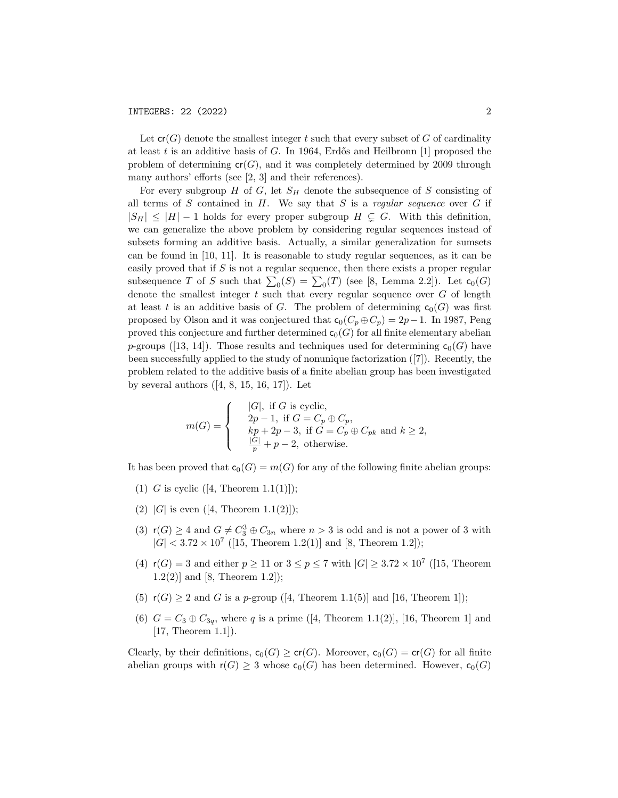Let  $cr(G)$  denote the smallest integer t such that every subset of G of cardinality at least t is an additive basis of G. In 1964, Erdős and Heilbronn [1] proposed the problem of determining  $cr(G)$ , and it was completely determined by 2009 through many authors' efforts (see [2, 3] and their references).

For every subgroup  $H$  of  $G$ , let  $S_H$  denote the subsequence of S consisting of all terms of S contained in  $H$ . We say that S is a regular sequence over  $G$  if  $|S_H| \leq |H| - 1$  holds for every proper subgroup  $H \subseteq G$ . With this definition, we can generalize the above problem by considering regular sequences instead of subsets forming an additive basis. Actually, a similar generalization for sumsets can be found in [10, 11]. It is reasonable to study regular sequences, as it can be easily proved that if  $S$  is not a regular sequence, then there exists a proper regular subsequence T of S such that  $\sum_0(S) = \sum_0(T)$  (see [8, Lemma 2.2]). Let  $c_0(G)$ denote the smallest integer  $t$  such that every regular sequence over  $G$  of length at least t is an additive basis of G. The problem of determining  $c_0(G)$  was first proposed by Olson and it was conjectured that  $c_0(C_p \oplus C_p) = 2p-1$ . In 1987, Peng proved this conjecture and further determined  $c_0(G)$  for all finite elementary abelian p-groups ([13, 14]). Those results and techniques used for determining  $c_0(G)$  have been successfully applied to the study of nonunique factorization ([7]). Recently, the problem related to the additive basis of a finite abelian group has been investigated by several authors  $([4, 8, 15, 16, 17])$ . Let

$$
m(G) = \begin{cases} & |G|, \text{ if } G \text{ is cyclic,} \\ & 2p - 1, \text{ if } G = C_p \oplus C_p, \\ & kp + 2p - 3, \text{ if } G = C_p \oplus C_{pk} \text{ and } k \ge 2, \\ & \frac{|G|}{p} + p - 2, \text{ otherwise.} \end{cases}
$$

It has been proved that  $c_0(G) = m(G)$  for any of the following finite abelian groups:

- (1) G is cyclic  $([4, Theorem 1.1(1)]);$
- (2) |G| is even  $([4, Theorem 1.1(2)]);$
- (3)  $r(G) \geq 4$  and  $G \neq C_3^3 \oplus C_{3n}$  where  $n > 3$  is odd and is not a power of 3 with  $|G| < 3.72 \times 10^7$  ([15, Theorem 1.2(1)] and [8, Theorem 1.2]);
- (4)  $r(G) = 3$  and either  $p \ge 11$  or  $3 \le p \le 7$  with  $|G| \ge 3.72 \times 10^7$  ([15, Theorem  $1.2(2)$ ] and [8, Theorem 1.2]);
- (5)  $r(G) \geq 2$  and G is a p-group ([4, Theorem 1.1(5)] and [16, Theorem 1]);
- (6)  $G = C_3 \oplus C_{3q}$ , where q is a prime ([4, Theorem 1.1(2)], [16, Theorem 1] and [17, Theorem 1.1]).

Clearly, by their definitions,  $c_0(G) \geq cr(G)$ . Moreover,  $c_0(G) = cr(G)$  for all finite abelian groups with  $r(G) \geq 3$  whose  $c_0(G)$  has been determined. However,  $c_0(G)$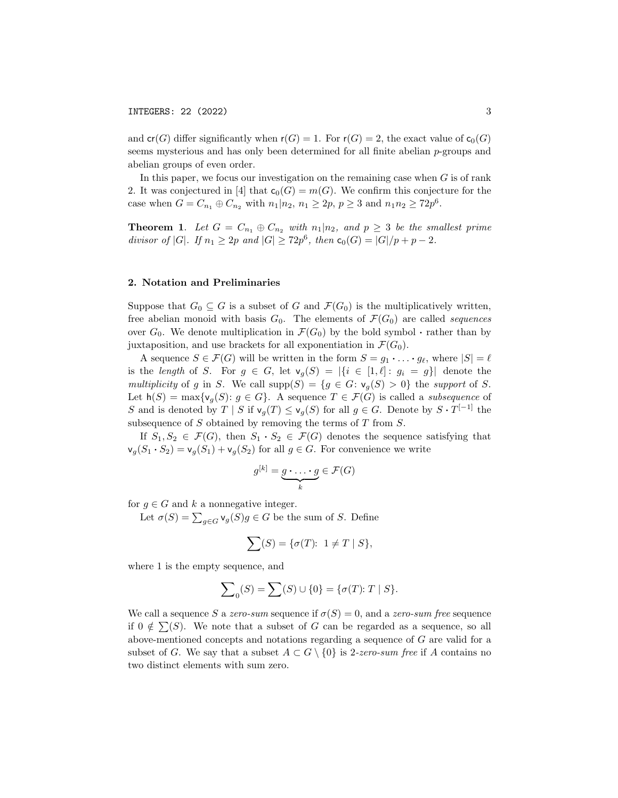and  $cr(G)$  differ significantly when  $r(G) = 1$ . For  $r(G) = 2$ , the exact value of  $c_0(G)$ seems mysterious and has only been determined for all finite abelian p-groups and abelian groups of even order.

In this paper, we focus our investigation on the remaining case when  $G$  is of rank 2. It was conjectured in [4] that  $c_0(G) = m(G)$ . We confirm this conjecture for the case when  $G = C_{n_1} \oplus C_{n_2}$  with  $n_1 | n_2, n_1 \ge 2p, p \ge 3$  and  $n_1 n_2 \ge 72p^6$ .

**Theorem 1.** Let  $G = C_{n_1} \oplus C_{n_2}$  with  $n_1 | n_2$ , and  $p \geq 3$  be the smallest prime divisor of |G|. If  $n_1 \geq 2p$  and  $|G| \geq 72p^6$ , then  $c_0(G) = |G|/p + p - 2$ .

## 2. Notation and Preliminaries

Suppose that  $G_0 \subseteq G$  is a subset of G and  $\mathcal{F}(G_0)$  is the multiplicatively written, free abelian monoid with basis  $G_0$ . The elements of  $\mathcal{F}(G_0)$  are called *sequences* over  $G_0$ . We denote multiplication in  $\mathcal{F}(G_0)$  by the bold symbol  $\cdot$  rather than by juxtaposition, and use brackets for all exponentiation in  $\mathcal{F}(G_0)$ .

A sequence  $S \in \mathcal{F}(G)$  will be written in the form  $S = g_1 \cdot \ldots \cdot g_\ell$ , where  $|S| = \ell$ is the length of S. For  $g \in G$ , let  $\mathsf{v}_g(S) = |\{i \in [1,\ell]: g_i = g\}|$  denote the multiplicity of g in S. We call  $\text{supp}(S) = \{g \in G : \mathsf{v}_g(S) > 0\}$  the support of S. Let  $h(S) = \max\{v_g(S): g \in G\}$ . A sequence  $T \in \mathcal{F}(G)$  is called a *subsequence* of S and is denoted by  $T | S$  if  $\mathsf{v}_g(T) \leq \mathsf{v}_g(S)$  for all  $g \in G$ . Denote by  $S \cdot T^{[-1]}$  the subsequence of  $S$  obtained by removing the terms of  $T$  from  $S$ .

If  $S_1, S_2 \in \mathcal{F}(G)$ , then  $S_1 \cdot S_2 \in \mathcal{F}(G)$  denotes the sequence satisfying that  $\mathsf{v}_g(S_1 \cdot S_2) = \mathsf{v}_g(S_1) + \mathsf{v}_g(S_2)$  for all  $g \in G$ . For convenience we write

$$
g^{[k]} = \underbrace{g \cdot \ldots \cdot g}_{k} \in \mathcal{F}(G)
$$

for  $g \in G$  and k a nonnegative integer.

Let  $\sigma(S) = \sum_{g \in G} \mathsf{v}_g(S)g \in G$  be the sum of S. Define

$$
\sum(S) = \{ \sigma(T): 1 \neq T \mid S \},\
$$

where 1 is the empty sequence, and

$$
\sum\nolimits_0 (S) = \sum\nolimits (S) \cup \{0\} = \{\sigma(T)\hbox{:}\ T \mid S\}.
$$

We call a sequence S a zero-sum sequence if  $\sigma(S) = 0$ , and a zero-sum free sequence if  $0 \notin \sum(S)$ . We note that a subset of G can be regarded as a sequence, so all above-mentioned concepts and notations regarding a sequence of G are valid for a subset of G. We say that a subset  $A \subset G \setminus \{0\}$  is 2-zero-sum free if A contains no two distinct elements with sum zero.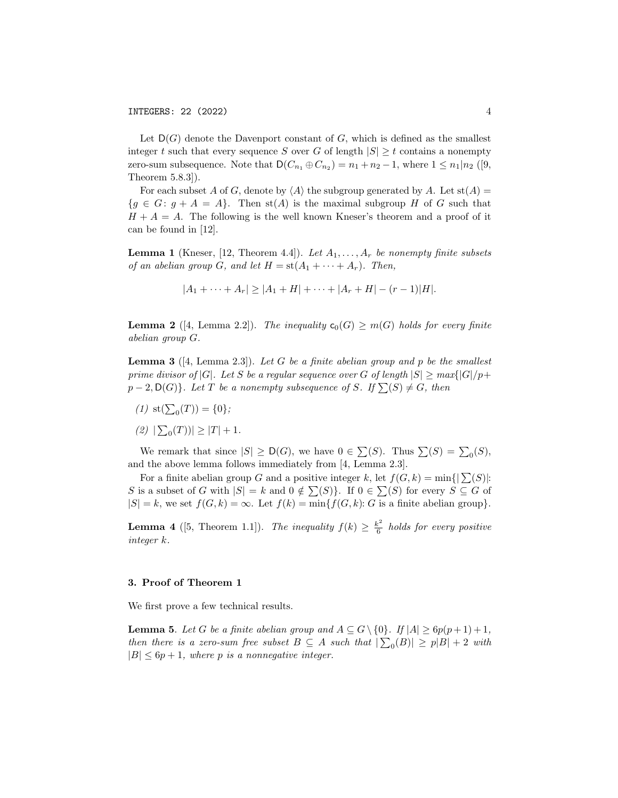Let  $D(G)$  denote the Davenport constant of G, which is defined as the smallest integer t such that every sequence S over G of length  $|S| \geq t$  contains a nonempty zero-sum subsequence. Note that  $D(C_{n_1} \oplus C_{n_2}) = n_1 + n_2 - 1$ , where  $1 \leq n_1 | n_2$  ([9, Theorem 5.8.3]).

For each subset A of G, denote by  $\langle A \rangle$  the subgroup generated by A. Let st(A) =  ${g \in G : g + A = A}.$  Then st(A) is the maximal subgroup H of G such that  $H + A = A$ . The following is the well known Kneser's theorem and a proof of it can be found in [12].

**Lemma 1** (Kneser, [12, Theorem 4.4]). Let  $A_1, \ldots, A_r$  be nonempty finite subsets of an abelian group G, and let  $H = st(A_1 + \cdots + A_r)$ . Then,

$$
|A_1 + \cdots + A_r| \ge |A_1 + H| + \cdots + |A_r + H| - (r - 1)|H|.
$$

**Lemma 2** ([4, Lemma 2.2]). The inequality  $c_0(G) \geq m(G)$  holds for every finite abelian group G.

**Lemma 3** ([4, Lemma 2.3]). Let G be a finite abelian group and p be the smallest prime divisor of  $|G|$ . Let S be a regular sequence over G of length  $|S| \geq max\{|G|/p+1\}$  $p-2, D(G)$ . Let T be a nonempty subsequence of S. If  $\sum(S) \neq G$ , then

- (1) st( $\sum_0(T)$ ) = {0};
- $(2)$   $|\sum_{0}(T)| \geq |T| + 1.$

We remark that since  $|S| \geq \mathsf{D}(G)$ , we have  $0 \in \sum(S)$ . Thus  $\sum(S) = \sum_0(S)$ , and the above lemma follows immediately from [4, Lemma 2.3].

For a finite abelian group G and a positive integer k, let  $f(G, k) = \min\{|\sum(S)|:$ S is a subset of G with  $|S| = k$  and  $0 \notin \sum(S)$ . If  $0 \in \sum(S)$  for every  $S \subseteq G$  of  $|S| = k$ , we set  $f(G, k) = \infty$ . Let  $f(k) = \min\{f(G, k): G$  is a finite abelian group}.

**Lemma 4** ([5, Theorem 1.1]). The inequality  $f(k) \geq \frac{k^2}{6}$  $rac{\varepsilon^2}{6}$  holds for every positive integer k.

## 3. Proof of Theorem 1

We first prove a few technical results.

**Lemma 5.** Let G be a finite abelian group and  $A \subseteq G \setminus \{0\}$ . If  $|A| \geq 6p(p+1)+1$ , then there is a zero-sum free subset  $B \subseteq A$  such that  $|\sum_{0}(B)| \geq p|B| + 2$  with  $|B| \leq 6p+1$ , where p is a nonnegative integer.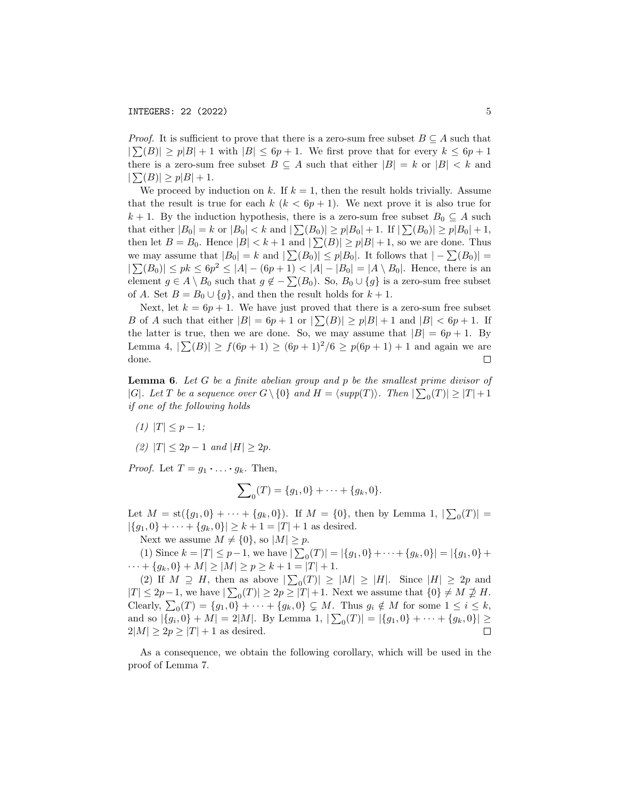*Proof.* It is sufficient to prove that there is a zero-sum free subset  $B \subseteq A$  such that  $|\sum(B)| \ge p|B| + 1$  with  $|B| \le 6p + 1$ . We first prove that for every  $k \le 6p + 1$ there is a zero-sum free subset  $B \subseteq A$  such that either  $|B| = k$  or  $|B| < k$  and  $|\sum(B)| \ge p|B| + 1.$ 

We proceed by induction on k. If  $k = 1$ , then the result holds trivially. Assume that the result is true for each  $k (k < 6p + 1)$ . We next prove it is also true for k + 1. By the induction hypothesis, there is a zero-sum free subset  $B_0 \subseteq A$  such that either  $|B_0| = k$  or  $|B_0| < k$  and  $|\sum(B_0)| \ge p|B_0| + 1$ . If  $|\sum(B_0)| \ge p|B_0| + 1$ , then let  $B = B_0$ . Hence  $|B| < k+1$  and  $|\sum(B)| \ge p|B|+1$ , so we are done. Thus we may assume that  $|B_0| = k$  and  $|\sum(B_0)| \leq p|B_0|$ . It follows that  $|-\sum(B_0)| =$  $|\sum(B_0)| \leq pk \leq 6p^2 \leq |A| - (6p+1) < |A| - |B_0| = |A \setminus B_0|$ . Hence, there is an element  $g \in A \setminus B_0$  such that  $g \notin -\sum(B_0)$ . So,  $B_0 \cup \{g\}$  is a zero-sum free subset of A. Set  $B = B_0 \cup \{g\}$ , and then the result holds for  $k + 1$ .

Next, let  $k = 6p + 1$ . We have just proved that there is a zero-sum free subset B of A such that either  $|B| = 6p + 1$  or  $|\sum(B)| \ge p|B| + 1$  and  $|B| < 6p + 1$ . If the latter is true, then we are done. So, we may assume that  $|B| = 6p + 1$ . By Lemma 4,  $|\sum(B)| \ge f(6p+1) \ge (6p+1)^2/6 \ge p(6p+1)+1$  and again we are done.  $\Box$ 

**Lemma 6.** Let  $G$  be a finite abelian group and  $p$  be the smallest prime divisor of |G|. Let T be a sequence over  $G \setminus \{0\}$  and  $H = \langle supp(T) \rangle$ . Then  $|\sum_{0}(T)| \geq |T| + 1$ if one of the following holds

(1)  $|T| \leq p-1;$ 

(2) 
$$
|T| \le 2p - 1
$$
 and  $|H| \ge 2p$ .

*Proof.* Let  $T = g_1 \cdot \ldots \cdot g_k$ . Then,

$$
\sum_{0}(T) = \{g_1, 0\} + \cdots + \{g_k, 0\}.
$$

Let  $M = \text{st}(\{g_1, 0\} + \cdots + \{g_k, 0\})$ . If  $M = \{0\}$ , then by Lemma 1,  $|\sum_0(T)| =$  $|\{g_1, 0\} + \cdots + \{g_k, 0\}| \ge k + 1 = |T| + 1$  as desired.

Next we assume  $M \neq \{0\}$ , so  $|M| \geq p$ .

(1) Since  $k = |T| \leq p-1$ , we have  $|\sum_{0}(T)| = |\{g_1, 0\} + \cdots + \{g_k, 0\}| = |\{g_1, 0\} +$  $\cdots + \{g_k, 0\} + M| \ge |M| \ge p \ge k + 1 = |T| + 1.$ 

(2) If  $M \supseteq H$ , then as above  $|\sum_{0}(T)| \geq |M| \geq |H|$ . Since  $|H| \geq 2p$  and  $|T| \leq 2p - 1$ , we have  $|\sum_{0}(T)| \geq 2p \geq |T| + 1$ . Next we assume that  $\{0\} \neq M \not\supseteq H$ . Clearly,  $\sum_0(T) = \{g_1, 0\} + \cdots + \{g_k, 0\} \subsetneq M$ . Thus  $g_i \notin M$  for some  $1 \leq i \leq k$ , and so  $|\{g_i, 0\} + M| = 2|M|$ . By Lemma 1,  $|\sum_{i=0}^{\infty} T_{i}| = |\{g_1, 0\} + \cdots + \{g_k, 0\}| \ge$  $2|M| \geq 2p \geq |T| + 1$  as desired.  $\Box$ 

As a consequence, we obtain the following corollary, which will be used in the proof of Lemma 7.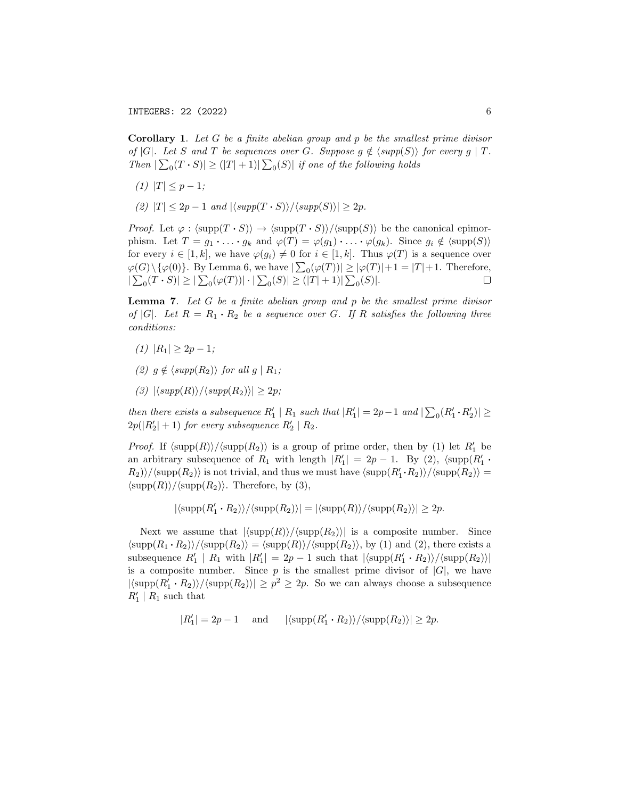INTEGERS: 22 (2022) 6

**Corollary 1.** Let  $G$  be a finite abelian group and  $p$  be the smallest prime divisor of |G|. Let S and T be sequences over G. Suppose  $q \notin \langle supp(S) \rangle$  for every  $q \mid T$ . Then  $|\sum_{0}(T \cdot S)| \geq (|T| + 1)| \sum_{0}(S)|$  if one of the following holds

- (1)  $|T| \leq p-1;$
- (2)  $|T| \leq 2p 1$  and  $|\langle supp(T \cdot S) \rangle / \langle supp(S) \rangle| \geq 2p$ .

*Proof.* Let  $\varphi$  :  $\langle \text{supp}(T \cdot S) \rangle \rightarrow \langle \text{supp}(T \cdot S) \rangle / \langle \text{supp}(S) \rangle$  be the canonical epimorphism. Let  $T = g_1 \cdot \ldots \cdot g_k$  and  $\varphi(T) = \varphi(g_1) \cdot \ldots \cdot \varphi(g_k)$ . Since  $g_i \notin \langle \text{supp}(S) \rangle$ for every  $i \in [1, k]$ , we have  $\varphi(g_i) \neq 0$  for  $i \in [1, k]$ . Thus  $\varphi(T)$  is a sequence over  $\varphi(G) \setminus {\varphi(0)}$ . By Lemma 6, we have  $|\sum_0 (\varphi(T))| \ge |\varphi(T)| + 1 = |T| + 1$ . Therefore,  $|\sum_{0}(T \cdot S)| \geq |\sum_{0}(\varphi(T))| \cdot |\sum_{0}(S)| \geq (|T| + 1)| \sum_{0}(S)|.$  $\Box$ 

**Lemma 7.** Let  $G$  be a finite abelian group and  $p$  be the smallest prime divisor of |G|. Let  $R = R_1 \cdot R_2$  be a sequence over G. If R satisfies the following three conditions:

- (1)  $|R_1| > 2p 1;$
- (2)  $q \notin \langle supp(R_2) \rangle$  for all  $q | R_1;$
- (3)  $|\langle supp(R)\rangle/\langle supp(R_2)\rangle| > 2p;$

then there exists a subsequence  $R'_1 \mid R_1$  such that  $|R'_1| = 2p-1$  and  $|\sum_0 (R'_1 \cdot R'_2)| \ge$  $2p(|R'_2|+1)$  for every subsequence  $R'_2 | R_2$ .

*Proof.* If  $\langle \text{supp}(R) \rangle / \langle \text{supp}(R_2) \rangle$  is a group of prime order, then by (1) let  $R'_1$  be an arbitrary subsequence of  $R_1$  with length  $|R'_1| = 2p - 1$ . By (2),  $\langle \text{supp}(R'_1 \cdot$  $R_2\rangle\rangle/\langle \mathrm{supp}(R_2)\rangle$  is not trivial, and thus we must have  $\langle \mathrm{supp}(R_1'\cdot R_2)\rangle/\langle \mathrm{supp}(R_2)\rangle =$  $\langle \text{supp}(R) \rangle / \langle \text{supp}(R_2) \rangle$ . Therefore, by (3),

$$
|\langle \mathrm{supp}(R_1'\cdot R_2)\rangle/\langle \mathrm{supp}(R_2)\rangle|=|\langle \mathrm{supp}(R)\rangle/\langle \mathrm{supp}(R_2)\rangle|\geq 2p.
$$

Next we assume that  $|\langle \text{supp}(R)\rangle/\langle \text{supp}(R_2)\rangle|$  is a composite number. Since  $\langle \text{supp}(R_1 \cdot R_2) \rangle / \langle \text{supp}(R_2) \rangle = \langle \text{supp}(R) \rangle / \langle \text{supp}(R_2) \rangle$ , by (1) and (2), there exists a subsequence  $R'_1 \mid R_1$  with  $|R'_1| = 2p - 1$  such that  $|\langle \text{supp}(R'_1 \cdot R_2) \rangle / \langle \text{supp}(R_2) \rangle|$ is a composite number. Since  $p$  is the smallest prime divisor of  $|G|$ , we have  $|\langle \text{supp}(R_1' \cdot R_2) \rangle / \langle \text{supp}(R_2) \rangle| \geq p^2 \geq 2p$ . So we can always choose a subsequence  $R'_1 \mid R_1$  such that

$$
|R'_1| = 2p - 1 \quad \text{ and } \quad |\langle \mathrm{supp}(R'_1 \cdot R_2) \rangle / \langle \mathrm{supp}(R_2) \rangle| \ge 2p.
$$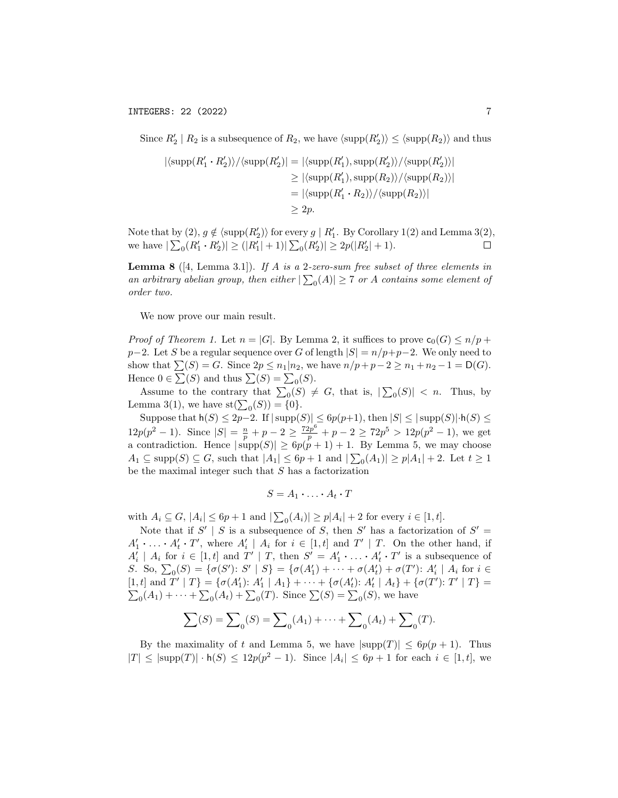Since  $R'_2 \mid R_2$  is a subsequence of  $R_2$ , we have  $\langle \text{supp}(R'_2) \rangle \leq \langle \text{supp}(R_2) \rangle$  and thus

$$
|\langle \text{supp}(R'_1 \cdot R'_2) \rangle / \langle \text{supp}(R'_2) \rangle| = |\langle \text{supp}(R'_1), \text{supp}(R'_2) \rangle / \langle \text{supp}(R'_2) \rangle|
$$
  
\n
$$
\geq |\langle \text{supp}(R'_1), \text{supp}(R_2) \rangle / \langle \text{supp}(R_2) \rangle|
$$
  
\n
$$
= |\langle \text{supp}(R'_1 \cdot R_2) \rangle / \langle \text{supp}(R_2) \rangle|
$$
  
\n
$$
\geq 2p.
$$

Note that by (2),  $g \notin \langle \text{supp}(R_2') \rangle$  for every  $g \mid R_1'$ . By Corollary 1(2) and Lemma 3(2), we have  $|\sum_{0}(R'_1 \cdot R'_2)| \geq (|R'_1| + 1)|\sum_{0}(R'_2)| \geq 2p(|R'_2| + 1)$ .  $\Box$ 

**Lemma 8** ([4, Lemma 3.1]). If A is a 2-zero-sum free subset of three elements in an arbitrary abelian group, then either  $|\sum_{0}(A)| \geq 7$  or A contains some element of order two.

We now prove our main result.

*Proof of Theorem 1.* Let  $n = |G|$ . By Lemma 2, it suffices to prove  $\mathsf{c}_0(G) \leq n/p +$  $p-2$ . Let S be a regular sequence over G of length  $|S| = n/p+p-2$ . We only need to show that  $\sum(S) = G$ . Since  $2p \leq n_1 | n_2$ , we have  $n/p + p - 2 \geq n_1 + n_2 - 1 = D(G)$ . Hence  $0 \in \sum(S)$  and thus  $\sum(S) = \sum_0(S)$ .

Assume to the contrary that  $\sum_{0}$  $(S) \neq G$ , that is,  $|\sum_{0}$  $(S)| < n$ . Thus, by Lemma 3(1), we have  $st(\sum_0(S)) = \{0\}.$ 

Suppose that  $h(S) \leq 2p-2$ . If  $|\text{supp}(S)| \leq 6p(p+1)$ , then  $|S| \leq |\text{supp}(S)| \cdot h(S) \leq$  $12p(p^2-1)$ . Since  $|S| = \frac{n}{p} + p - 2 \ge \frac{72p^6}{p} + p - 2 \ge 72p^5 > 12p(p^2-1)$ , we get a contradiction. Hence  $|\text{supp}(S)| \ge 6p(p+1)+1$ . By Lemma 5, we may choose  $A_1 \subseteq \text{supp}(S) \subseteq G$ , such that  $|A_1| \leq 6p + 1$  and  $|\sum_{0}(A_1)| \geq p|A_1| + 2$ . Let  $t \geq 1$ be the maximal integer such that  $S$  has a factorization

$$
S = A_1 \cdot \ldots \cdot A_t \cdot T
$$

with  $A_i \subseteq G$ ,  $|A_i| \leq 6p + 1$  and  $|\sum_{i} (A_i)| \geq p|A_i| + 2$  for every  $i \in [1, t]$ .

Note that if  $S' | S$  is a subsequence of S, then S' has a factorization of  $S' =$  $A'_1 \cdot \ldots \cdot A'_t \cdot T'$ , where  $A'_i \mid A_i$  for  $i \in [1, t]$  and  $T' \mid T$ . On the other hand, if  $A'_i \mid A_i$  for  $i \in [1, t]$  and  $T' \mid T$ , then  $S' = A'_1 \cdot \ldots \cdot A'_t \cdot T'$  is a subsequence of S. So,  $\sum_{0}(S) = {\sigma(S') : S' | S} = {\sigma(A'_1) + \cdots + \sigma(A'_t) + \sigma(T') : A'_i | A_i \text{ for } i \in \mathbb{R}}$ [1, t] and T' | T} = { $\sigma(A'_1)$ :  $A'_1$  |  $A_1$ } +  $\cdots$  + { $\sigma(A'_t)$ :  $A'_t$  |  $A_t$ } + { $\sigma(T')$ : T' | T} =  $\sum_{0}(A_1) + \cdots + \sum_{0}(A_t) + \sum_{0}(T)$ . Since  $\sum(S) = \sum_{0}(S)$ , we have

$$
\sum(S) = \sum_{0}(S) = \sum_{0}(A_{1}) + \dots + \sum_{0}(A_{t}) + \sum_{0}(T).
$$

By the maximality of t and Lemma 5, we have  $|\text{supp}(T)| \leq 6p(p+1)$ . Thus  $|T| \leq |\text{supp}(T)| \cdot \mathsf{h}(S) \leq 12p(p^2 - 1)$ . Since  $|A_i| \leq 6p + 1$  for each  $i \in [1, t]$ , we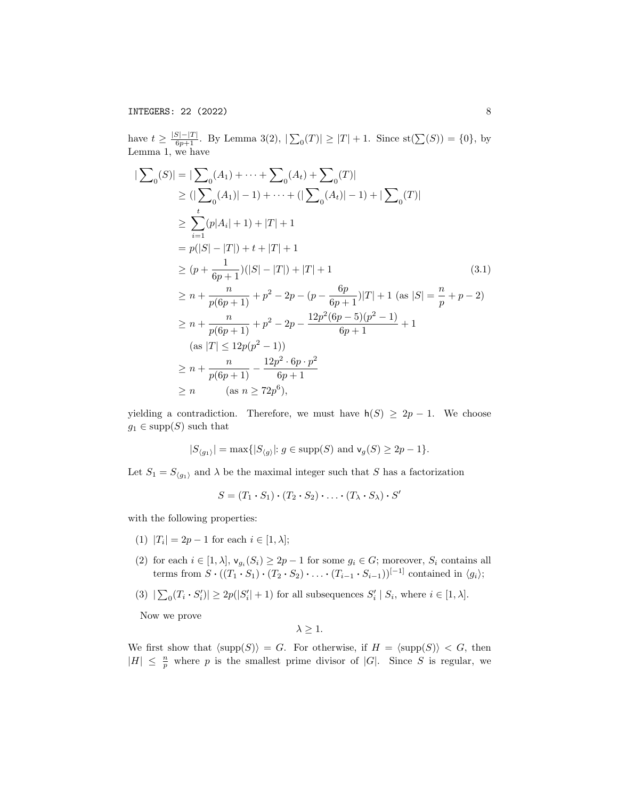have  $t \geq \frac{|S|-|T|}{6p+1}$ . By Lemma 3(2),  $|\sum_{0}(T)| \geq |T|+1$ . Since  $\text{st}(\sum(S)) = \{0\}$ , by Lemma 1, we have

$$
|\sum_{0} (S)| = |\sum_{0} (A_{1}) + \dots + \sum_{0} (A_{t}) + \sum_{0} (T)|
$$
  
\n
$$
\geq (|\sum_{0} (A_{1})| - 1) + \dots + (|\sum_{0} (A_{t})| - 1) + |\sum_{0} (T)|
$$
  
\n
$$
\geq \sum_{i=1}^{t} (p|A_{i}| + 1) + |T| + 1
$$
  
\n
$$
= p(|S| - |T|) + t + |T| + 1
$$
  
\n
$$
\geq (p + \frac{1}{6p + 1})(|S| - |T|) + |T| + 1
$$
  
\n
$$
\geq n + \frac{n}{p(6p + 1)} + p^{2} - 2p - (p - \frac{6p}{6p + 1})|T| + 1 \text{ (as } |S| = \frac{n}{p} + p - 2)
$$
  
\n
$$
\geq n + \frac{n}{p(6p + 1)} + p^{2} - 2p - \frac{12p^{2}(6p - 5)(p^{2} - 1)}{6p + 1} + 1
$$
  
\n(as  $|T| \leq 12p(p^{2} - 1)$ )  
\n
$$
\geq n + \frac{n}{p(6p + 1)} - \frac{12p^{2} \cdot 6p \cdot p^{2}}{6p + 1}
$$
  
\n
$$
\geq n \qquad \text{(as } n \geq 72p^{6}),
$$
 (13.1)

yielding a contradiction. Therefore, we must have  $h(S) \geq 2p - 1$ . We choose  $g_1 \in \text{supp}(S)$  such that

$$
|S_{\langle g_1\rangle}|=\max\{|S_{\langle g\rangle}|\colon g\in\text{supp}(S)\ \text{and}\ \textsf{v}_g(S)\geq 2p-1\}.
$$

Let  $S_1 = S_{\langle g_1 \rangle}$  and  $\lambda$  be the maximal integer such that S has a factorization

$$
S = (T_1 \cdot S_1) \cdot (T_2 \cdot S_2) \cdot \ldots \cdot (T_{\lambda} \cdot S_{\lambda}) \cdot S'
$$

with the following properties:

- (1)  $|T_i| = 2p 1$  for each  $i \in [1, \lambda];$
- (2) for each  $i \in [1, \lambda], \mathsf{v}_{g_i}(S_i) \ge 2p-1$  for some  $g_i \in G$ ; moreover,  $S_i$  contains all terms from  $S \cdot ((T_1 \cdot S_1) \cdot (T_2 \cdot S_2) \cdot \ldots \cdot (T_{i-1} \cdot S_{i-1}))^{[-1]}$  contained in  $\langle g_i \rangle$ ;
- (3)  $|\sum_{i} (T_i \cdot S'_i)| \geq 2p(|S'_i|+1)$  for all subsequences  $S'_i | S_i$ , where  $i \in [1, \lambda]$ .

Now we prove

 $\lambda > 1$ .

We first show that  $\langle \text{supp}(S) \rangle = G$ . For otherwise, if  $H = \langle \text{supp}(S) \rangle < G$ , then  $|H| \leq \frac{n}{p}$  where p is the smallest prime divisor of  $|G|$ . Since S is regular, we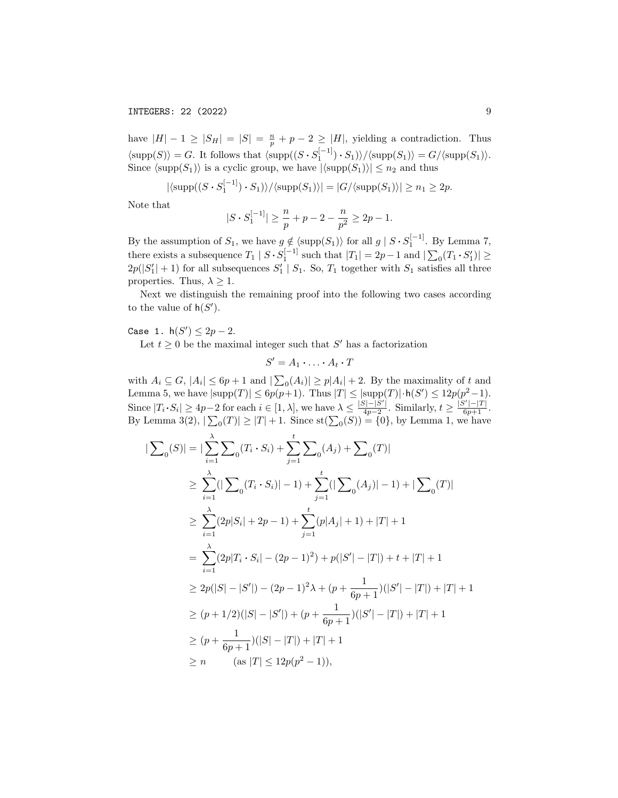have  $|H| - 1 \geq |S_H| = |S| = \frac{n}{p} + p - 2 \geq |H|$ , yielding a contradiction. Thus  $\langle \text{supp}(S) \rangle = G$ . It follows that  $\langle \text{supp}((S \cdot S_1^{[-1]}) \cdot S_1) \rangle / \langle \text{supp}(S_1) \rangle = G / \langle \text{supp}(S_1) \rangle$ . Since  $\langle \text{supp}(S_1) \rangle$  is a cyclic group, we have  $|\langle \text{supp}(S_1) \rangle| \leq n_2$  and thus

$$
|\langle \mathrm{supp}((S \cdot S_1^{[-1]}) \cdot S_1) \rangle / \langle \mathrm{supp}(S_1) \rangle| = |G/\langle \mathrm{supp}(S_1) \rangle| \ge n_1 \ge 2p.
$$

Note that

$$
|S\cdot S_1^{[-1]}|\geq \frac{n}{p}+p-2-\frac{n}{p^2}\geq 2p-1.
$$

By the assumption of  $S_1$ , we have  $g \notin \langle \text{supp}(S_1) \rangle$  for all  $g | S \cdot S_1^{[-1]}$ . By Lemma 7, there exists a subsequence  $T_1 | S \cdot S_1^{[-1]}$  such that  $|T_1| = 2p - 1$  and  $|\sum_0 (T_1 \cdot S_1')| \ge$  $2p(|S'_1|+1)$  for all subsequences  $S'_1 | S_1$ . So,  $T_1$  together with  $S_1$  satisfies all three properties. Thus,  $\lambda \geq 1$ .

Next we distinguish the remaining proof into the following two cases according to the value of  $h(S')$ .

# Case 1.  $h(S') \leq 2p - 2$ .

Let  $t \geq 0$  be the maximal integer such that S' has a factorization

 $S' = A_1 \cdot \ldots \cdot A_t \cdot T$ 

with  $A_i \subseteq G$ ,  $|A_i| \leq 6p+1$  and  $|\sum_{i} (A_i)| \geq p|A_i| + 2$ . By the maximality of t and Lemma 5, we have  $|\text{supp}(T)| \leq 6p(p+1)$ . Thus  $|T| \leq |\text{supp}(T)| \cdot \mathsf{h}(S') \leq 12p(p^2-1)$ . Since  $|T_i \cdot S_i| \geq 4p-2$  for each  $i \in [1, \lambda]$ , we have  $\lambda \leq \frac{|S|-|S'|}{4p-2}$  $\frac{|S|-|S'|}{4p-2}$ . Similarly,  $t \geq \frac{|S'|-|T|}{6p+1}$ . By Lemma 3(2),  $|\sum_{0}(T)| \geq |T| + 1$ . Since  $\text{st}(\sum_{0}(S)) = \{0\}$ , by Lemma 1, we have

$$
|\sum_{i=1} S(S)| = |\sum_{i=1}^{n} \sum_{0} (T_i \cdot S_i) + \sum_{j=1}^{t} \sum_{0} (A_j) + \sum_{0} (T)|
$$
  
\n
$$
\geq \sum_{i=1}^{n} (|\sum_{0} (T_i \cdot S_i)| - 1) + \sum_{j=1}^{t} (|\sum_{0} (A_j)| - 1) + |\sum_{0} (T)|
$$
  
\n
$$
\geq \sum_{i=1}^{n} (2p|S_i| + 2p - 1) + \sum_{j=1}^{t} (p|A_j| + 1) + |T| + 1
$$
  
\n
$$
= \sum_{i=1}^{n} (2p|T_i \cdot S_i| - (2p - 1)^2) + p(|S'| - |T|) + t + |T| + 1
$$
  
\n
$$
\geq 2p(|S| - |S'|) - (2p - 1)^2 \lambda + (p + \frac{1}{6p + 1})(|S'| - |T|) + |T| + 1
$$
  
\n
$$
\geq (p + 1/2)(|S| - |S'|) + (p + \frac{1}{6p + 1})(|S'| - |T|) + |T| + 1
$$
  
\n
$$
\geq (p + \frac{1}{6p + 1})(|S| - |T|) + |T| + 1
$$
  
\n
$$
\geq n \qquad (as |T| \leq 12p(p^2 - 1)),
$$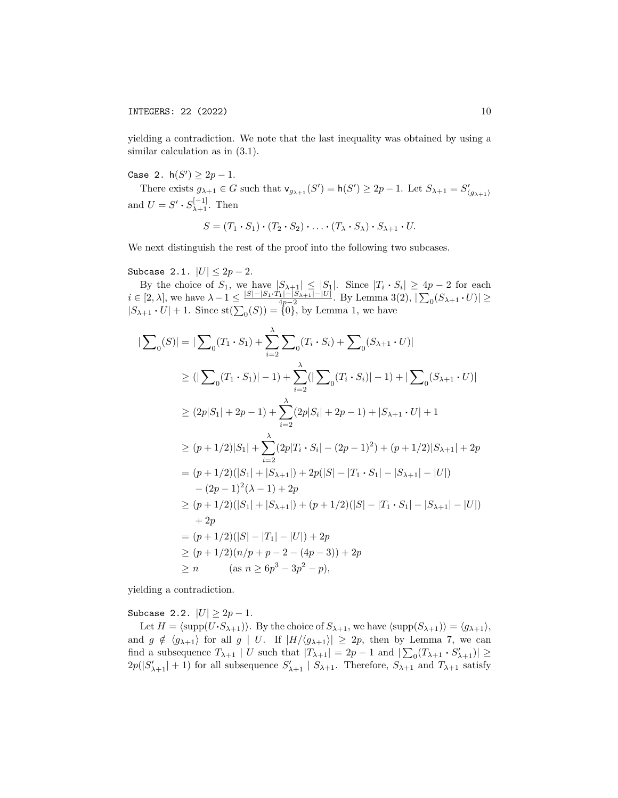yielding a contradiction. We note that the last inequality was obtained by using a similar calculation as in (3.1).

Case 2.  $h(S') \ge 2p - 1$ .

There exists  $g_{\lambda+1} \in G$  such that  $\mathsf{v}_{g_{\lambda+1}}(S') = \mathsf{h}(S') \geq 2p-1$ . Let  $S_{\lambda+1} = S'_{\langle g_{\lambda+1} \rangle}$ and  $U = S' \cdot S_{\lambda+1}^{[-1]}$ . Then

$$
S = (T_1 \cdot S_1) \cdot (T_2 \cdot S_2) \cdot \ldots \cdot (T_{\lambda} \cdot S_{\lambda}) \cdot S_{\lambda+1} \cdot U.
$$

We next distinguish the rest of the proof into the following two subcases.

Subcase 2.1.  $|U| \le 2p - 2$ .

|

By the choice of  $S_1$ , we have  $|S_{\lambda+1}| \leq |S_1|$ . Since  $|T_i \cdot S_i| \geq 4p-2$  for each  $i \in [2, \lambda],$  we have  $\lambda - 1 \leq \frac{|S| - |S_1 \cdot T_1| - |S_{\lambda+1}| - |U|}{4p - 2}$ . By Lemma 3(2),  $|\sum_{0} (S_{\lambda+1} \cdot U)| \geq$  $|S_{\lambda+1} \cdot U| + 1$ . Since  $\text{st}(\sum_0(S)) = \{0\}$ , by Lemma 1, we have

$$
\sum_{0} |S| = |\sum_{0} (T_{1} \cdot S_{1}) + \sum_{i=2}^{\lambda} \sum_{0} (T_{i} \cdot S_{i}) + \sum_{0} (S_{\lambda+1} \cdot U)|
$$
  
\n
$$
\geq (|\sum_{0} (T_{1} \cdot S_{1})| - 1) + \sum_{i=2}^{\lambda} (|\sum_{0} (T_{i} \cdot S_{i})| - 1) + |\sum_{0} (S_{\lambda+1} \cdot U)|
$$
  
\n
$$
\geq (2p|S_{1}| + 2p - 1) + \sum_{i=2}^{\lambda} (2p|S_{i}| + 2p - 1) + |S_{\lambda+1} \cdot U| + 1
$$
  
\n
$$
\geq (p + 1/2)|S_{1}| + \sum_{i=2}^{\lambda} (2p|T_{i} \cdot S_{i}| - (2p - 1)^{2}) + (p + 1/2)|S_{\lambda+1}| + 2p
$$
  
\n
$$
= (p + 1/2)(|S_{1}| + |S_{\lambda+1}|) + 2p(|S| - |T_{1} \cdot S_{1}| - |S_{\lambda+1}| - |U|)
$$
  
\n
$$
- (2p - 1)^{2}(\lambda - 1) + 2p
$$
  
\n
$$
\geq (p + 1/2)(|S_{1}| + |S_{\lambda+1}|) + (p + 1/2)(|S| - |T_{1} \cdot S_{1}| - |S_{\lambda+1}| - |U|)
$$
  
\n
$$
+ 2p
$$
  
\n
$$
= (p + 1/2)(|S| - |T_{1}| - |U|) + 2p
$$
  
\n
$$
\geq (p + 1/2)(n/p + p - 2 - (4p - 3)) + 2p
$$
  
\n
$$
\geq n
$$
 (as  $n \geq 6p^{3} - 3p^{2} - p$ ),

yielding a contradiction.

Subcase 2.2.  $|U| \geq 2p - 1$ .

Let  $H = \langle \text{supp}(U\cdot S_{\lambda+1})\rangle$ . By the choice of  $S_{\lambda+1}$ , we have  $\langle \text{supp}(S_{\lambda+1})\rangle = \langle g_{\lambda+1}\rangle$ , and  $g \notin \langle g_{\lambda+1} \rangle$  for all  $g \mid U$ . If  $|H/\langle g_{\lambda+1} \rangle| \geq 2p$ , then by Lemma 7, we can find a subsequence  $T_{\lambda+1} | U$  such that  $|T_{\lambda+1}| = 2p - 1$  and  $|\sum_{0} (T_{\lambda+1} \cdot S'_{\lambda+1})| \ge$  $2p(|S'_{\lambda+1}|+1)$  for all subsequence  $S'_{\lambda+1}$  |  $S_{\lambda+1}$ . Therefore,  $S_{\lambda+1}$  and  $T_{\lambda+1}$  satisfy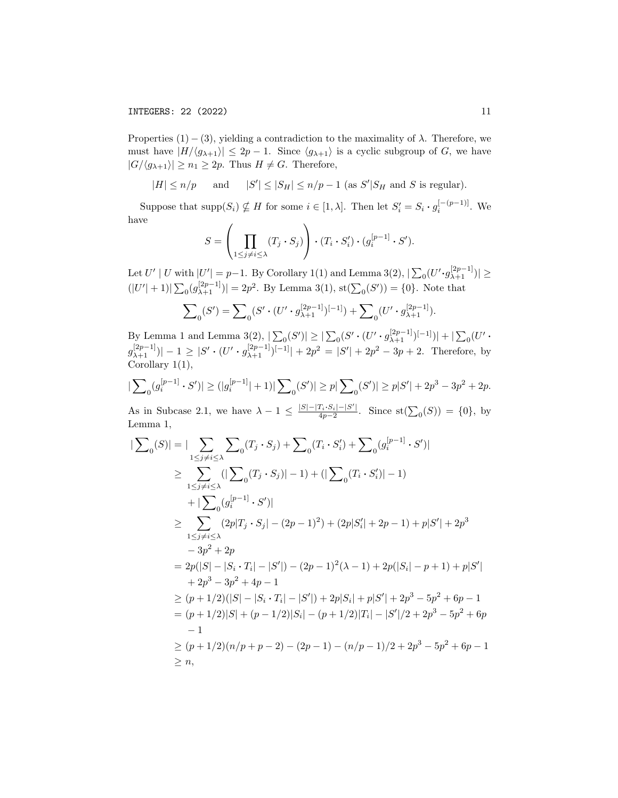Properties  $(1) - (3)$ , yielding a contradiction to the maximality of  $\lambda$ . Therefore, we must have  $|H/\langle g_{\lambda+1}\rangle| \leq 2p-1$ . Since  $\langle g_{\lambda+1}\rangle$  is a cyclic subgroup of G, we have  $|G/\langle g_{\lambda+1}\rangle| \geq n_1 \geq 2p$ . Thus  $H \neq G$ . Therefore,

 $|H| \le n/p$  and  $|S'| \le |S_H| \le n/p - 1$  (as  $S' |S_H$  and S is regular).

Suppose that  $\text{supp}(S_i) \nsubseteq H$  for some  $i \in [1, \lambda]$ . Then let  $S_i' = S_i \cdot g_i^{[-(p-1)]}$ . We have

$$
S = \left(\prod_{1 \leq j \neq i \leq \lambda} (T_j \cdot S_j)\right) \cdot (T_i \cdot S'_i) \cdot (g_i^{[p-1]} \cdot S').
$$

Let  $U' | U$  with  $|U'| = p-1$ . By Corollary 1(1) and Lemma 3(2),  $|\sum_{0} (U' \cdot g_{\lambda+1}^{[2p-1]})| \ge$  $(|U'|+1)|\sum_{0}(g_{\lambda+1}^{[2p-1]})|=2p^2$ . By Lemma 3(1), st $(\sum_{0}(S'))=\{0\}$ . Note that

$$
\sum\nolimits_{0} (S') = \sum\nolimits_{0} (S' \cdot (U' \cdot g_{\lambda+1}^{[2p-1]})^{[-1]}) + \sum\nolimits_{0} (U' \cdot g_{\lambda+1}^{[2p-1]}).
$$

By Lemma 1 and Lemma 3(2),  $|\sum_{0}(S')| \geq |\sum_{0}(S' \cdot (U' \cdot g_{\lambda+1}^{[2p-1]})^{[-1]})| + |\sum_{0}(U' \cdot$  $g_{\lambda+1}^{[2p-1]}$ )| - 1  $\geq |S' \cdot (U' \cdot g_{\lambda+1}^{[2p-1]})^{[-1]}| + 2p^2 = |S'| + 2p^2 - 3p + 2$ . Therefore, by Corollary 1(1),

$$
|\sum\nolimits_0 (g_i^{[p-1]} \cdot S')| \ge (|g_i^{[p-1]}|+1)|\sum\nolimits_0 (S')| \ge p |\sum\nolimits_0 (S')| \ge p|S'| + 2p^3 - 3p^2 + 2p.
$$

As in Subcase 2.1, we have  $\lambda - 1 \leq \frac{|S| - |T_i \cdot S_i| - |S'|}{4n - 2}$  $\frac{I_i \cdot S_i|-|S'|}{4p-2}$ . Since st $(\sum_0(S)) = \{0\}$ , by Lemma 1,

$$
\begin{split}\n|\sum_{0}(S)|&=|\sum_{1\leq j\neq i\leq \lambda}\sum_{0}(T_{j}\cdot S_{j})+\sum_{0}(T_{i}\cdot S'_{i})+\sum_{0}(g_{i}^{[p-1]}\cdot S')| \\
&\geq \sum_{1\leq j\neq i\leq \lambda}(|\sum_{0}(T_{j}\cdot S_{j})|-1)+(|\sum_{0}(T_{i}\cdot S'_{i})|-1) \\
&+|\sum_{0}(g_{i}^{[p-1]}\cdot S')| \\
&\geq \sum_{1\leq j\neq i\leq \lambda}(2p|T_{j}\cdot S_{j}|-(2p-1)^{2})+(2p|S'_{i}|+2p-1)+p|S'|+2p^{3} \\
&-3p^{2}+2p \\
&=2p(|S|-|S_{i}\cdot T_{i}|-|S'|)-(2p-1)^{2}(\lambda-1)+2p(|S_{i}|-p+1)+p|S'| \\
&+2p^{3}-3p^{2}+4p-1 \\
&\geq (p+1/2)(|S|-|S_{i}\cdot T_{i}|-|S'|)+2p|S_{i}|+p|S'|+2p^{3}-5p^{2}+6p-1 \\
&=(p+1/2)|S|+(p-1/2)|S_{i}|-(p+1/2)|T_{i}|-|S'|/2+2p^{3}-5p^{2}+6p-1 \\
&-1 \\
&\geq (p+1/2)(n/p+p-2)-(2p-1)-(n/p-1)/2+2p^{3}-5p^{2}+6p-1 \\
&\geq n,\n\end{split}
$$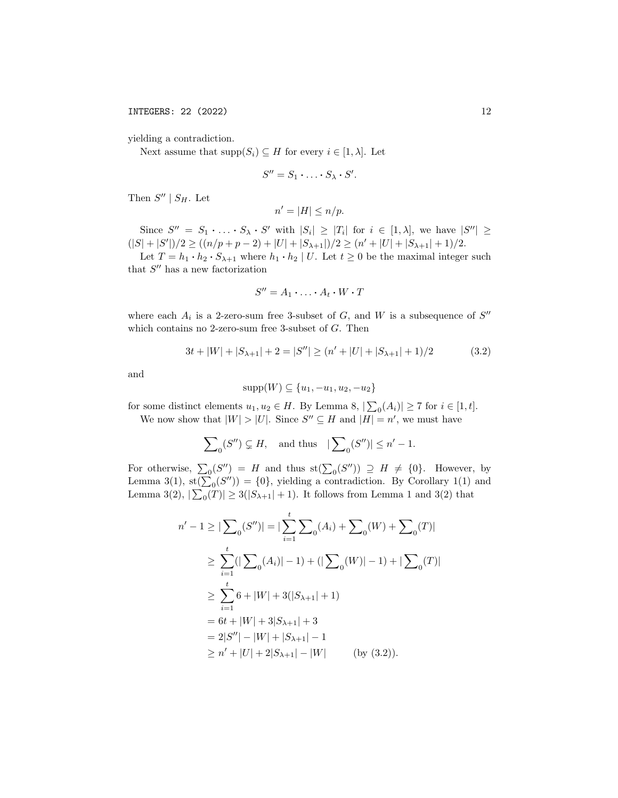INTEGERS: 22 (2022) 12

yielding a contradiction.

Next assume that  $\text{supp}(S_i) \subseteq H$  for every  $i \in [1, \lambda]$ . Let

$$
S''=S_1\cdot\ldots\cdot S_\lambda\cdot S'.
$$

Then  $S'' | S_H$ . Let

$$
n' = |H| \le n/p.
$$

Since  $S'' = S_1 \cdot \ldots \cdot S_{\lambda} \cdot S'$  with  $|S_i| \geq |T_i|$  for  $i \in [1, \lambda]$ , we have  $|S''| \geq$  $(|S|+|S'|)/2 \geq ((n/p+p-2)+|U|+|S_{\lambda+1}|)/2 \geq (n'+|U|+|S_{\lambda+1}|+1)/2.$ 

Let  $T = h_1 \cdot h_2 \cdot S_{\lambda+1}$  where  $h_1 \cdot h_2 \mid U$ . Let  $t \ge 0$  be the maximal integer such that  $S''$  has a new factorization

$$
S'' = A_1 \cdot \ldots \cdot A_t \cdot W \cdot T
$$

where each  $A_i$  is a 2-zero-sum free 3-subset of  $G$ , and  $W$  is a subsequence of  $S''$ which contains no 2-zero-sum free 3-subset of  $G$ . Then

$$
3t + |W| + |S_{\lambda+1}| + 2 = |S''| \ge (n' + |U| + |S_{\lambda+1}| + 1)/2 \tag{3.2}
$$

and

$$
supp(W) \subseteq \{u_1, -u_1, u_2, -u_2\}
$$

for some distinct elements  $u_1, u_2 \in H$ . By Lemma 8,  $|\sum_{i}(A_i)| \ge 7$  for  $i \in [1, t]$ .

We now show that  $|W| > |U|$ . Since  $S'' \subseteq H$  and  $|H| = n'$ , we must have

$$
\sum\nolimits_0(S'')\subsetneq H, \quad \text{and thus} \quad |\sum\nolimits_0(S'')|\le n'-1.
$$

For otherwise,  $\sum_0(S'') = H$  and thus  $\text{st}(\sum_0(S'')) \supseteq H \neq \{0\}$ . However, by Lemma 3(1),  $\text{st}(\sum_0 (S'')) = \{0\}$ , yielding a contradiction. By Corollary 1(1) and Lemma 3(2),  $|\sum_{0}(T)| \ge 3(|S_{\lambda+1}| + 1)$ . It follows from Lemma 1 and 3(2) that

$$
n' - 1 \ge |\sum_{0} (S'')| = |\sum_{i=1}^{t} \sum_{0} (A_i) + \sum_{0} (W) + \sum_{0} (T)|
$$
  
\n
$$
\ge \sum_{i=1}^{t} (|\sum_{0} (A_i)| - 1) + (|\sum_{0} (W)| - 1) + |\sum_{0} (T)|
$$
  
\n
$$
\ge \sum_{i=1}^{t} 6 + |W| + 3(|S_{\lambda+1}| + 1)
$$
  
\n
$$
= 6t + |W| + 3|S_{\lambda+1}| + 3
$$
  
\n
$$
= 2|S''| - |W| + |S_{\lambda+1}| - 1
$$
  
\n
$$
\ge n' + |U| + 2|S_{\lambda+1}| - |W| \qquad \text{(by (3.2)).}
$$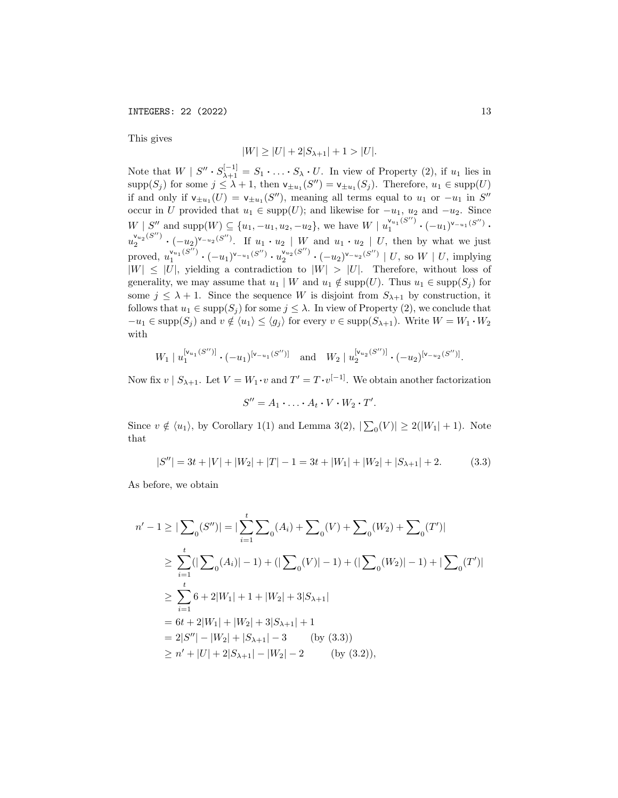This gives

$$
|W| \ge |U| + 2|S_{\lambda+1}| + 1 > |U|.
$$

Note that  $W \mid S'' \cdot S_{\lambda+1}^{[-1]} = S_1 \cdot \ldots \cdot S_{\lambda} \cdot U$ . In view of Property (2), if  $u_1$  lies in  $\text{supp}(S_j)$  for some  $j \leq \lambda + 1$ , then  $\mathsf{v}_{\pm u_1}(S'') = \mathsf{v}_{\pm u_1}(S_j)$ . Therefore,  $u_1 \in \text{supp}(U)$ if and only if  $\mathsf{v}_{\pm u_1}(U) = \mathsf{v}_{\pm u_1}(S'')$ , meaning all terms equal to  $u_1$  or  $-u_1$  in  $S''$ occur in U provided that  $u_1 \in \text{supp}(U)$ ; and likewise for  $-u_1, u_2$  and  $-u_2$ . Since  $W | S''$  and supp $(W) \subseteq \{u_1, -u_1, u_2, -u_2\}$ , we have  $W | u_1^{\mathsf{v}_{u_1}(S'')}$  $\frac{\mathsf{v}_{u_1}(S'')}{1} \cdot (-u_1)^{\mathsf{v}_{-u_1}(S'')}$  .  $u_2^{\mathsf{v}_{u_2}(S'')}$  $\mathbb{Z}_2^{\nu_{u_2}(S'')}$   $\cdot$   $(-u_2)^{\nu_{-u_2}(S'')}$ . If  $u_1 \cdot u_2 \mid W$  and  $u_1 \cdot u_2 \mid U$ , then by what we just proved,  $u_1^{\mathsf{v}_{u_1}(S'')}$  $\frac{\mathsf{v}_{u_1}(S'')}{1} \cdot (-u_1)^{\mathsf{v}_{-u_1}(S'')} \cdot u_2^{\mathsf{v}_{u_2}(S'')}$  $\sum_{2}^{\mathsf{v}_{u_2}(S'')}$  •  $(-u_2)^{\mathsf{v}_{-u_2}(S'')}$  | U, so W | U, implying  $|W| \leq |U|$ , yielding a contradiction to  $|W| > |U|$ . Therefore, without loss of generality, we may assume that  $u_1 | W$  and  $u_1 \notin \text{supp}(U)$ . Thus  $u_1 \in \text{supp}(S_j)$  for some  $j \leq \lambda + 1$ . Since the sequence W is disjoint from  $S_{\lambda+1}$  by construction, it follows that  $u_1 \in \text{supp}(S_j)$  for some  $j \leq \lambda$ . In view of Property (2), we conclude that  $-u_1 \in \text{supp}(S_i)$  and  $v \notin \langle u_1 \rangle \leq \langle g_i \rangle$  for every  $v \in \text{supp}(S_{\lambda+1})$ . Write  $W = W_1 \cdot W_2$ with

$$
W_1 | u_1^{[v_{u_1}(S'')]}\cdot (-u_1)^{[v_{-u_1}(S'')]}\quad \text{and}\quad W_2 | u_2^{[v_{u_2}(S'')]}\cdot (-u_2)^{[v_{-u_2}(S'')]}\cdot
$$

Now fix  $v \mid S_{\lambda+1}$ . Let  $V = W_1 \cdot v$  and  $T' = T \cdot v^{[-1]}$ . We obtain another factorization

$$
S'' = A_1 \cdot \ldots \cdot A_t \cdot V \cdot W_2 \cdot T'.
$$

Since  $v \notin \langle u_1 \rangle$ , by Corollary 1(1) and Lemma 3(2),  $|\sum_0(V)| \ge 2(|W_1| + 1)$ . Note that

$$
|S''| = 3t + |V| + |W_2| + |T| - 1 = 3t + |W_1| + |W_2| + |S_{\lambda+1}| + 2.
$$
 (3.3)

As before, we obtain

$$
n' - 1 \ge |\sum_{0} (S'')| = |\sum_{i=1}^{t} \sum_{0} (A_i) + \sum_{0} (V) + \sum_{0} (W_2) + \sum_{0} (T')|
$$
  
\n
$$
\ge \sum_{i=1}^{t} (|\sum_{0} (A_i)| - 1) + (|\sum_{0} (V)| - 1) + (|\sum_{0} (W_2)| - 1) + |\sum_{0} (T')|
$$
  
\n
$$
\ge \sum_{i=1}^{t} 6 + 2|W_1| + 1 + |W_2| + 3|S_{\lambda+1}|
$$
  
\n
$$
= 6t + 2|W_1| + |W_2| + 3|S_{\lambda+1}| + 1
$$
  
\n
$$
= 2|S''| - |W_2| + |S_{\lambda+1}| - 3 \qquad \text{(by (3.3))}
$$
  
\n
$$
\ge n' + |U| + 2|S_{\lambda+1}| - |W_2| - 2 \qquad \text{(by (3.2)),}
$$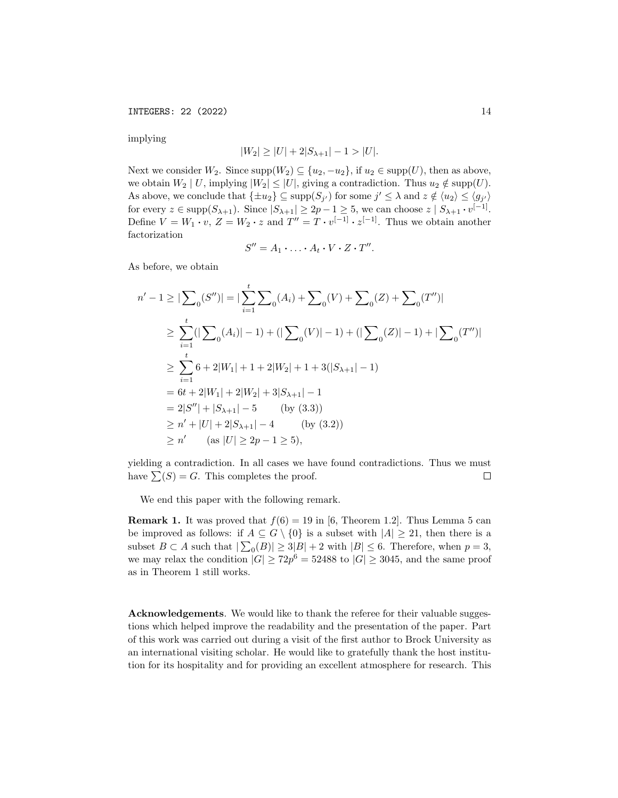INTEGERS: 22 (2022) 14

implying

$$
|W_2| \ge |U| + 2|S_{\lambda+1}| - 1 > |U|.
$$

Next we consider W<sub>2</sub>. Since  $\text{supp}(W_2) \subseteq \{u_2, -u_2\}$ , if  $u_2 \in \text{supp}(U)$ , then as above, we obtain  $W_2 | U$ , implying  $|W_2| \leq |U|$ , giving a contradiction. Thus  $u_2 \notin \text{supp}(U)$ . As above, we conclude that  $\{\pm u_2\} \subseteq \text{supp}(S_{j'})$  for some  $j' \leq \lambda$  and  $z \notin \langle u_2 \rangle \leq \langle g_{j'} \rangle$ for every  $z \in \text{supp}(S_{\lambda+1})$ . Since  $|S_{\lambda+1}| \geq 2p-1 \geq 5$ , we can choose  $z | S_{\lambda+1} \cdot v^{[-1]}$ . Define  $V = W_1 \cdot v$ ,  $Z = W_2 \cdot z$  and  $T'' = T \cdot v^{[-1]} \cdot z^{[-1]}$ . Thus we obtain another factorization

$$
S'' = A_1 \cdot \ldots \cdot A_t \cdot V \cdot Z \cdot T''.
$$

As before, we obtain

$$
n' - 1 \ge |\sum_{0} (S'')| = |\sum_{i=1}^{t} \sum_{0} (A_i) + \sum_{0} (V) + \sum_{0} (Z) + \sum_{0} (T'')|
$$
  
\n
$$
\ge \sum_{i=1}^{t} (|\sum_{0} (A_i)| - 1) + (|\sum_{0} (V)| - 1) + (|\sum_{0} (Z)| - 1) + |\sum_{0} (T'')|
$$
  
\n
$$
\ge \sum_{i=1}^{t} 6 + 2|W_1| + 1 + 2|W_2| + 1 + 3(|S_{\lambda+1}| - 1)
$$
  
\n
$$
= 6t + 2|W_1| + 2|W_2| + 3|S_{\lambda+1}| - 1
$$
  
\n
$$
= 2|S''| + |S_{\lambda+1}| - 5 \qquad \text{(by (3.3))}
$$
  
\n
$$
\ge n' + |U| + 2|S_{\lambda+1}| - 4 \qquad \text{(by (3.2))}
$$
  
\n
$$
\ge n' \qquad \text{(as } |U| \ge 2p - 1 \ge 5),
$$

yielding a contradiction. In all cases we have found contradictions. Thus we must have  $\sum(S) = G$ . This completes the proof.  $\Box$ 

We end this paper with the following remark.

**Remark 1.** It was proved that  $f(6) = 19$  in [6, Theorem 1.2]. Thus Lemma 5 can be improved as follows: if  $A \subseteq G \setminus \{0\}$  is a subset with  $|A| \geq 21$ , then there is a subset  $B \subset A$  such that  $|\sum_{0}(B)| \ge 3|B| + 2$  with  $|B| \le 6$ . Therefore, when  $p = 3$ , we may relax the condition  $|G| \ge 72p^6 = 52488$  to  $|G| \ge 3045$ , and the same proof as in Theorem 1 still works.

Acknowledgements. We would like to thank the referee for their valuable suggestions which helped improve the readability and the presentation of the paper. Part of this work was carried out during a visit of the first author to Brock University as an international visiting scholar. He would like to gratefully thank the host institution for its hospitality and for providing an excellent atmosphere for research. This